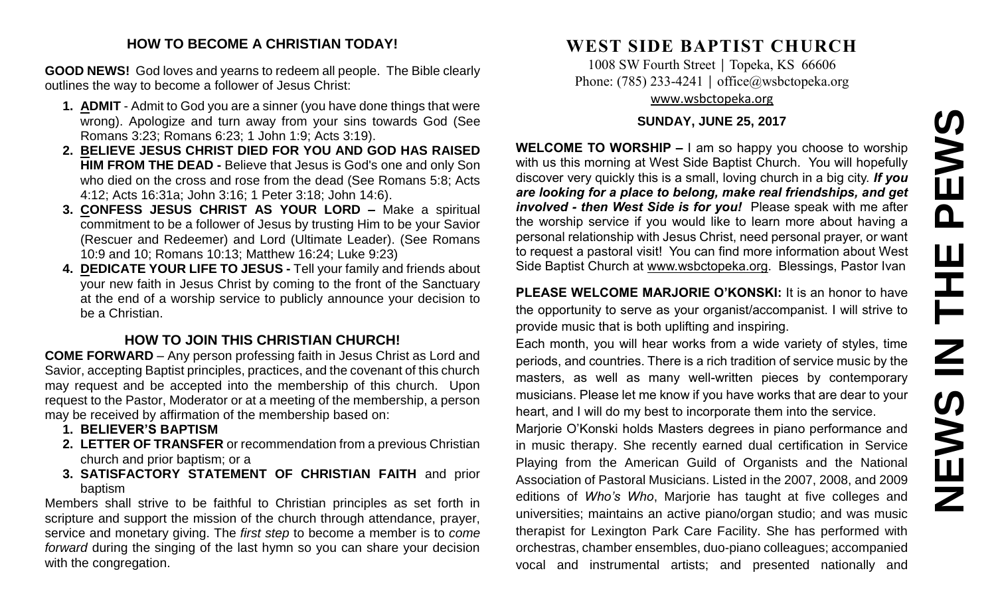# **NEWS IN THE PEWS**PEWS Ш Ē NSSMN

# **HOW TO BECOME A CHRISTIAN TODAY!**

**GOOD NEWS!** God loves and yearns to redeem all people. The Bible clearly outlines the way to become a follower of Jesus Christ:

- **1. ADMIT** Admit to God you are a sinner (you have done things that were wrong). Apologize and turn away from your sins towards God (See Romans 3:23; Romans 6:23; 1 John 1:9; Acts 3:19).
- **2. BELIEVE JESUS CHRIST DIED FOR YOU AND GOD HAS RAISED HIM FROM THE DEAD -** Believe that Jesus is God's one and only Son who died on the cross and rose from the dead (See Romans 5:8; Acts 4:12; Acts 16:31a; John 3:16; 1 Peter 3:18; John 14:6).
- **3. CONFESS JESUS CHRIST AS YOUR LORD –** Make a spiritual commitment to be a follower of Jesus by trusting Him to be your Savior (Rescuer and Redeemer) and Lord (Ultimate Leader). (See Romans 10:9 and 10; Romans 10:13; Matthew 16:24; Luke 9:23)
- **4. DEDICATE YOUR LIFE TO JESUS -** Tell your family and friends about your new faith in Jesus Christ by coming to the front of the Sanctuary at the end of a worship service to publicly announce your decision to be a Christian.

# **HOW TO JOIN THIS CHRISTIAN CHURCH!**

**COME FORWARD** – Any person professing faith in Jesus Christ as Lord and Savior, accepting Baptist principles, practices, and the covenant of this church may request and be accepted into the membership of this church. Upon request to the Pastor, Moderator or at a meeting of the membership, a person may be received by affirmation of the membership based on:

- **1. BELIEVER'S BAPTISM**
- **2. LETTER OF TRANSFER** or recommendation from a previous Christian church and prior baptism; or a
- **3. SATISFACTORY STATEMENT OF CHRISTIAN FAITH** and prior baptism

Members shall strive to be faithful to Christian principles as set forth in scripture and support the mission of the church through attendance, prayer, service and monetary giving. The *first step* to become a member is to *come forward* during the singing of the last hymn so you can share your decision with the congregation.

# **WEST SIDE BAPTIST CHURCH**

1008 SW Fourth Street | Topeka, KS 66606 Phone: (785) 233-4241 │ [office@wsbctopeka.org](mailto:office@wsbctopeka.org) [www.wsbctopeka.org](http://www.wsbctopeka.org/)

# **SUNDAY, JUNE 25, 2017**

**WELCOME TO WORSHIP –** I am so happy you choose to worship with us this morning at West Side Baptist Church. You will hopefully discover very quickly this is a small, loving church in a big city. *If you are looking for a place to belong, make real friendships, and get involved - then West Side is for you!* Please speak with me after the worship service if you would like to learn more about having a personal relationship with Jesus Christ, need personal prayer, or want to request a pastoral visit! You can find more information about West Side Baptist Church at [www.wsbctopeka.org.](http://www.wsbctopeka.org/) Blessings, Pastor Ivan

**PLEASE WELCOME MARJORIE O'KONSKI:** It is an honor to have the opportunity to serve as your organist/accompanist. I will strive to provide music that is both uplifting and inspiring.

Each month, you will hear works from a wide variety of styles, time periods, and countries. There is a rich tradition of service music by the masters, as well as many well-written pieces by contemporary musicians. Please let me know if you have works that are dear to your heart, and I will do my best to incorporate them into the service.

Marjorie O'Konski holds Masters degrees in piano performance and in music therapy. She recently earned dual certification in Service Playing from the American Guild of Organists and the National Association of Pastoral Musicians. Listed in the 2007, 2008, and 2009 editions of *Who's Who*, Marjorie has taught at five colleges and universities; maintains an active piano/organ studio; and was music therapist for Lexington Park Care Facility. She has performed with orchestras, chamber ensembles, duo-piano colleagues; accompanied vocal and instrumental artists; and presented nationally and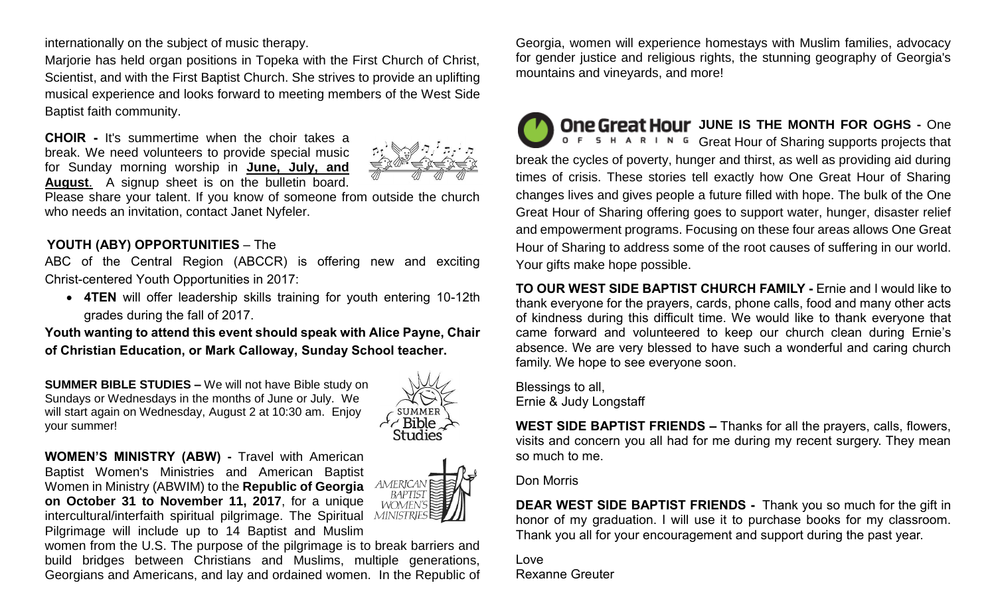internationally on the subject of music therapy.

Marjorie has held organ positions in Topeka with the First Church of Christ, Scientist, and with the First Baptist Church. She strives to provide an uplifting musical experience and looks forward to meeting members of the West Side Baptist faith community.

**CHOIR -** It's summertime when the choir takes a break. We need volunteers to provide special music for Sunday morning worship in **June, July, and August**. A signup sheet is on the bulletin board.



Please share your talent. If you know of someone from outside the church who needs an invitation, contact Janet Nyfeler.

# **YOUTH (ABY) OPPORTUNITIES** – The

ABC of the Central Region (ABCCR) is offering new and exciting Christ-centered Youth Opportunities in 2017:

• **4TEN** will offer leadership skills training for youth entering 10-12th grades during the fall of 2017.

**Youth wanting to attend this event should speak with Alice Payne, Chair of Christian Education, or Mark Calloway, Sunday School teacher.**

**SUMMER BIBLE STUDIES –** We will not have Bible study on Sundays or Wednesdays in the months of June or July. We will start again on Wednesday, August 2 at 10:30 am. Enjoy your summer!



**WOMEN'S MINISTRY (ABW) -** Travel with American Baptist Women's Ministries and American Baptist Women in Ministry (ABWIM) to the **Republic of Georgia on October 31 to November 11, 2017**, for a unique intercultural/interfaith spiritual pilgrimage. The Spiritual Pilgrimage will include up to 14 Baptist and Muslim



women from the U.S. The purpose of the pilgrimage is to break barriers and build bridges between Christians and Muslims, multiple generations, Georgians and Americans, and lay and ordained women. In the Republic of

Georgia, women will experience homestays with Muslim families, advocacy for gender justice and religious rights, the stunning geography of Georgia's mountains and vineyards, and more!

**One Great Hour JUNE IS THE MONTH FOR OGHS - One**  $0 \in S$  H A R I N G Great Hour of Sharing supports projects that break the cycles of poverty, hunger and thirst, as well as providing aid during times of crisis. These stories tell exactly how One Great Hour of Sharing changes lives and gives people a future filled with hope. The bulk of the One Great Hour of Sharing offering goes to support water, hunger, disaster relief and empowerment programs. Focusing on these four areas allows One Great Hour of Sharing to address some of the root causes of suffering in our world. Your gifts make hope possible.

**TO OUR WEST SIDE BAPTIST CHURCH FAMILY -** Ernie and I would like to thank everyone for the prayers, cards, phone calls, food and many other acts of kindness during this difficult time. We would like to thank everyone that came forward and volunteered to keep our church clean during Ernie's absence. We are very blessed to have such a wonderful and caring church family. We hope to see everyone soon.

Blessings to all, Ernie & Judy Longstaff

**WEST SIDE BAPTIST FRIENDS –** Thanks for all the prayers, calls, flowers, visits and concern you all had for me during my recent surgery. They mean so much to me.

### Don Morris

**DEAR WEST SIDE BAPTIST FRIENDS -** Thank you so much for the gift in honor of my graduation. I will use it to purchase books for my classroom. Thank you all for your encouragement and support during the past year.

Love Rexanne Greuter